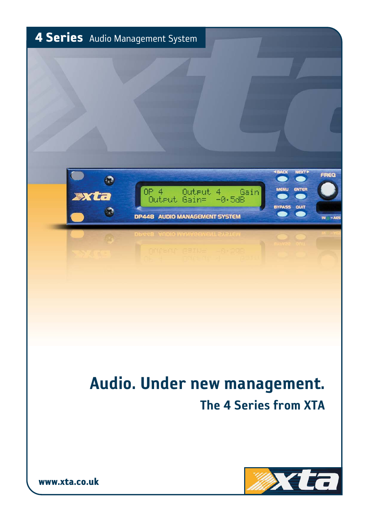

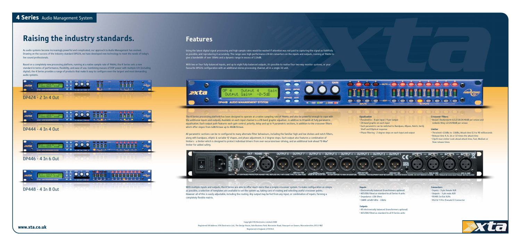# **4 Series** Audio Management System

# **Raising the industry standards. Features**

As audio systems become increasingly powerful and complicated, our approach to Audio Management has evolved. Drawing on the success of the industry standard DP226, we have developed new technology to meet the needs of today's live sound professionals.

Based on a completely new processing platform, running at a native sample rate of 96kHz, the 4 Series sets a new standard in terms of performance, flexibility, and ease of use. Combining masses of DSP power with multiple I/O (including digital), the 4 Series provides a range of products that make it easy to configure even the largest and most demanding audio systems.

Using the latest digital signal processing and high sample rates would be wasted if attention was not paid to capturing the signal as faithfully as possible, and reproducing it accurately. The range uses high-performance 24-bit converters on the inputs and outputs, running at 96kHz to give a bandwidth of over 30kHz and a dynamic range in excess of 116dB.

With two or four fully-balanced inputs, and up to eight fully-balanced outputs, it's possible to realise four two-way monitor systems, or your favourite DP226 configuration with an additional stereo processing channel, all in a single 1U unit.



The 4 Series processing platform has been designed to operate at a native sampling rate of 96kHz, and also be powerful enough to cope with the additional inputs and outputs. Available on each input channel is a 28-band graphic equaliser, in addition to 8 bands of fully parametric equalisation. Each output path features each gain control, polarity, delay and up to 9 parametric sections, in addition to the crossover filters which offer slopes from 6dB/Octave up to 48dB/Octave.

DP448 - 4 In 8 Out With multiple inputs and outputs, the 4 Series are able to offer much more than a simple crossover system. To make configuration as simple  $\Gamma$  and  $\Gamma$  and  $\Gamma$  and  $\Gamma$  and  $\Gamma$  and  $\Gamma$  and  $\Gamma$  and as possible, a selection of templates are available to set the system up, taking care of routing and selecting useful crossover points. However all of this is easily adjustable, including the routing. Any output may be fed from any input, or combination of inputs, forming a completely flexible matrix.

All parametric sections can be re-configured to many alternate filter behaviours, including the familiar high and low shelves and notch filters, along with bandpass, elliptic & variable 'Q' shapes, and phase adjustment, in 2 degree steps. Each output also features a combination of limiters - a limiter which is designed to protect individual drivers from over-excursion/over-driving, and an additional look-ahead "D-Max" limiter for added safety.



#### **Equalisation**

• Parametrics - 8 per input / 9 per output

• 28-band graphic on each input

• Each parametric can be switched to Bandpass, Allpass, Notch, VariQ, Shelf and Elliptical response

• Phase filtering - 2 degree steps on each input and output

### **Crossover Filters**

D-0-0-01

• Bessel / Butterworth 6/12/18/24/48dB per octave and Linkwitz-Riley 12/24/48dB per octave

#### **Limiter**

• Threshold +22dBu to -10dBu, Attack time 0.3 to 90 milliseconds

- Release time 4, 8, 16 or 32 times the attack time
- Clip/D-max Limiter Look-ahead attack time, Fast, Medium or Slow release times



#### **Inputs**

• Electronically balanced (transformers optional) • AES/EBU fitted as standard to all Series 4 units • Impedance >10k Ohms • CMRR >65dB 50Hz - 10kHz

### O**utputs**

• All electronically balanced (transformers optional) • AES/EBU fitted as standard to all 4 Series units

- **Connectors** • Inputs - 3 pin female XLR • Outputs - 3 pin male XLR
- RS485 In/Out XLRs
- RS232 9 Pin (Female) D Connector